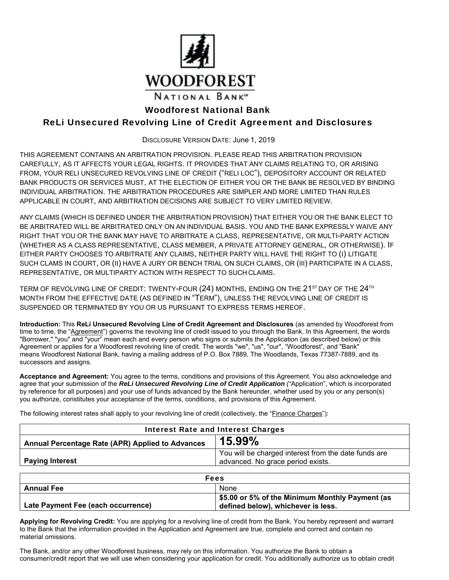

# Woodforest National Bank

# ReLi Unsecured Revolving Line of Credit Agreement and Disclosures

DISCLOSURE VERSION DATE: June 1, 2019

THIS AGREEMENT CONTAINS AN ARBITRATION PROVISION. PLEASE READ THIS ARBITRATION PROVISION CAREFULLY, AS IT AFFECTS YOUR LEGAL RIGHTS. IT PROVIDES THAT ANY CLAIMS RELATING TO, OR ARISING FROM, YOUR RELI UNSECURED REVOLVING LINE OF CREDIT ("RELI LOC"), DEPOSITORY ACCOUNT OR RELATED BANK PRODUCTS OR SERVICES MUST, AT THE ELECTION OF EITHER YOU OR THE BANK BE RESOLVED BY BINDING INDIVIDUAL ARBITRATION. THE ARBITRATION PROCEDURES ARE SIMPLER AND MORE LIMITED THAN RULES APPLICABLE IN COURT, AND ARBITRATION DECISIONS ARE SUBJECT TO VERY LIMITED REVIEW.

 ANY CLAIMS (WHICH IS DEFINED UNDER THE ARBITRATION PROVISION) THAT EITHER YOU OR THE BANK ELECT TO SUCH CLAMS IN COURT, OR (II) HAVE A JURY OR BENCH TRIAL ON SUCH CLAIMS, OR (III) PARTICIPATE IN A CLASS, BE ARBITRATED WILL BE ARBITRATED ONLY ON AN INDIVIDUAL BASIS. YOU AND THE BANK EXPRESSLY WAIVE ANY RIGHT THAT YOU OR THE BANK MAY HAVE TO ARBITRATE A CLASS, REPRESENTATIVE, OR MULTI-PARTY ACTION (WHETHER AS A CLASS REPRESENTATIVE, CLASS MEMBER, A PRIVATE ATTORNEY GENERAL, OR OTHERWISE). IF EITHER PARTY CHOOSES TO ARBITRATE ANY CLAIMS, NEITHER PARTY WILL HAVE THE RIGHT TO (I) LITIGATE REPRESENTATIVE, OR MULTIPARTY ACTION WITH RESPECT TO SUCH CLAIMS.

TERM OF REVOLVING LINE OF CREDIT: TWENTY-FOUR (24) MONTHS, ENDING ON THE 21<sup>ST</sup> DAY OF THE 24<sup>TH</sup> MONTH FROM THE EFFECTIVE DATE (AS DEFINED IN "TERM"), UNLESS THE REVOLVING LINE OF CREDIT IS SUSPENDED OR TERMINATED BY YOU OR US PURSUANT TO EXPRESS TERMS HEREOF.

**Introduction:** This **ReLi Unsecured Revolving Line of Credit Agreement and Disclosures** (as amended by Woodforest from time to time, the "Agreement") governs the revolving line of credit issued to you through the Bank. In this Agreement, the words "Borrower," "you" and "your" mean each and every person who signs or submits the Application (as described below) or this Agreement or applies for a Woodforest revolving line of credit. The words "we", "us", "our", "Woodforest", and "Bank" means Woodforest National Bank, having a mailing address of P.O. Box 7889, The Woodlands, Texas 77387-7889, and its successors and assigns.

**Acceptance and Agreement:** You agree to the terms, conditions and provisions of this Agreement. You also acknowledge and agree that your submission of the *ReLi Unsecured Revolving Line of Credit Application ("*Application", which is incorporated by reference for all purposes) and your use of funds advanced by the Bank hereunder, whether used by you or any person(s) you authorize, constitutes your acceptance of the terms, conditions, and provisions of this Agreement.

Interest Rate and Interest Charges **Annual Percentage Rate (APR) Applied to Advances 15.99% Paying Interest**  You will be charged interest from the date funds are advanced. No grace period exists. Fees **Annual Fee** None None **Late Payment Fee (each occurrence) \$5.00 or 5% of the Minimum Monthly Payment (as defined below), whichever is less.** 

The following interest rates shall apply to your revolving line of credit (collectively, the "Finance Charges"):

**Applying for Revolving Credit:** You are applying for a revolving line of credit from the Bank. You hereby represent and warrant to the Bank that the information provided in the Application and Agreement are true, complete and correct and contain no material omissions.

The Bank, and/or any other Woodforest business, may rely on this information. You authorize the Bank to obtain a consumer/credit report that we will use when considering your application for credit. You additionally authorize us to obtain credit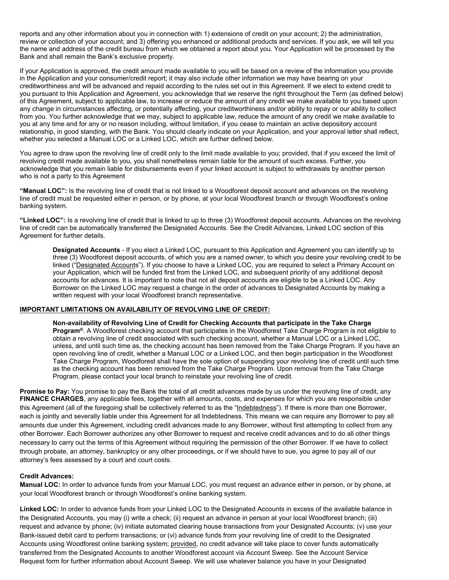reports and any other information about you in connection with 1) extensions of credit on your account; 2) the administration, review or collection of your account; and 3) offering you enhanced or additional products and services. If you ask, we will tell you the name and address of the credit bureau from which we obtained a report about you. Your Application will be processed by the Bank and shall remain the Bank's exclusive property.

If your Application is approved, the credit amount made available to you will be based on a review of the information you provide in the Application and your consumer/credit report; it may also include other information we may have bearing on your creditworthiness and will be advanced and repaid according to the rules set out in this Agreement. If we elect to extend credit to you pursuant to this Application and Agreement, you acknowledge that we reserve the right throughout the Term (as defined below) of this Agreement, subject to applicable law, to increase or reduce the amount of any credit we make available to you based upon any change in circumstances affecting, or potentially affecting, your creditworthiness and/or ability to repay or our ability to collect from you. You further acknowledge that we may, subject to applicable law, reduce the amount of any credit we make available to you at any time and for any or no reason including, without limitation, if you cease to maintain an active depository account relationship, in good standing, with the Bank. You should clearly indicate on your Application, and your approval letter shall reflect, whether you selected a Manual LOC or a Linked LOC, which are further defined below.

You agree to draw upon the revolving line of credit only to the limit made available to you; provided, that if you exceed the limit of revolving credit made available to you, you shall nonetheless remain liable for the amount of such excess. Further, you acknowledge that you remain liable for disbursements even if your linked account is subject to withdrawals by another person who is not a party to this Agreement

**"Manual LOC":** Is the revolving line of credit that is not linked to a Woodforest deposit account and advances on the revolving line of credit must be requested either in person, or by phone, at your local Woodforest branch or through Woodforest's online banking system.

**"Linked LOC":** Is a revolving line of credit that is linked to up to three (3) Woodforest deposit accounts. Advances on the revolving line of credit can be automatically transferred the Designated Accounts. See the Credit Advances, Linked LOC section of this Agreement for further details.

**Designated Accounts** - If you elect a Linked LOC, pursuant to this Application and Agreement you can identify up to three (3) Woodforest deposit accounts, of which you are a named owner, to which you desire your revolving credit to be linked ("Designated Accounts"). If you choose to have a Linked LOC, you are required to select a Primary Account on your Application, which will be funded first from the Linked LOC, and subsequent priority of any additional deposit accounts for advances. It is important to note that not all deposit accounts are eligible to be a Linked LOC. Any Borrower on the Linked LOC may request a change in the order of advances to Designated Accounts by making a written request with your local Woodforest branch representative.

### **IMPORTANT LIMITATIONS ON AVAILABILITY OF REVOLVING LINE OF CREDIT:**

**Non-availability of Revolving Line of Credit for Checking Accounts that participate in the Take Charge Program®**. A Woodforest checking account that participates in the Woodforest Take Charge Program is not eligible to obtain a revolving line of credit associated with such checking account, whether a Manual LOC or a Linked LOC, unless, and until such time as, the checking account has been removed from the Take Charge Program. If you have an open revolving line of credit, whether a Manual LOC or a Linked LOC, and then begin participation in the Woodforest Take Charge Program, Woodforest shall have the sole option of suspending your revolving line of credit until such time as the checking account has been removed from the Take Charge Program. Upon removal from the Take Charge Program, please contact your local branch to reinstate your revolving line of credit.

 attorney's fees assessed by a court and court costs. **Promise to Pay:** You promise to pay the Bank the total of all credit advances made by us under the revolving line of credit, any **FINANCE CHARGES**, any applicable fees, together with all amounts, costs, and expenses for which you are responsible under this Agreement (all of the foregoing shall be collectively referred to as the "Indebtedness"). If there is more than one Borrower, each is jointly and severally liable under this Agreement for all Indebtedness. This means we can require any Borrower to pay all amounts due under this Agreement, including credit advances made to any Borrower, without first attempting to collect from any other Borrower. Each Borrower authorizes any other Borrower to request and receive credit advances and to do all other things necessary to carry out the terms of this Agreement without requiring the permission of the other Borrower. If we have to collect through probate, an attorney, bankruptcy or any other proceedings, or if we should have to sue, you agree to pay all of our

### **Credit Advances:**

**Manual LOC:** In order to advance funds from your Manual LOC, you must request an advance either in person, or by phone, at your local Woodforest branch or through Woodforest's online banking system.

 the Designated Accounts, you may (i) write a check; (ii) request an advance in person at your local Woodforest branch; (iii) **Linked LOC:** In order to advance funds from your Linked LOC to the Designated Accounts in excess of the available balance in request and advance by phone; (iv) initiate automated clearing house transactions from your Designated Accounts; (v) use your Bank-issued debit card to perform transactions; or (vi) advance funds from your revolving line of credit to the Designated Accounts using Woodforest online banking system; provided, no credit advance will take place to cover funds automatically transferred from the Designated Accounts to another Woodforest account via Account Sweep. See the Account Service Request form for further information about Account Sweep. We will use whatever balance you have in your Designated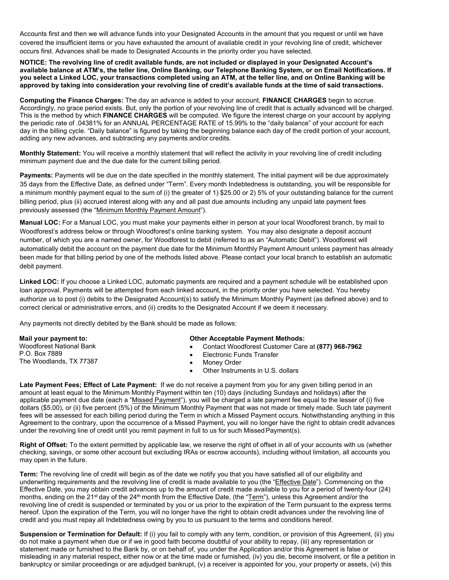Accounts first and then we will advance funds into your Designated Accounts in the amount that you request or until we have covered the insufficient items or you have exhausted the amount of available credit in your revolving line of credit, whichever occurs first. Advances shall be made to Designated Accounts in the priority order you have selected.

 **NOTICE: The revolving line of credit available funds, are not included or displayed in your Designated Account's you select a Linked LOC, your transactions completed using an ATM, at the teller line, and on Online Banking will be available balance at ATM's, the teller line, Online Banking, our Telephone Banking System, or on Email Notifications. If approved by taking into consideration your revolving line of credit's available funds at the time of said transactions.** 

 **Computing the Finance Charges:** The day an advance is added to your account, **FINANCE CHARGES** begin to accrue. This is the method by which **FINANCE CHARGES** will be computed. We figure the interest charge on your account by applying Accordingly, no grace period exists. But, only the portion of your revolving line of credit that is actually advanced will be charged. the periodic rate of .04381% for an ANNUAL PERCENTAGE RATE of 15.99% to the "daily balance" of your account for each day in the billing cycle. "Daily balance" is figured by taking the beginning balance each day of the credit portion of your account, adding any new advances, and subtracting any payments and/or credits.

**Monthly Statement:** You will receive a monthly statement that will reflect the activity in your revolving line of credit including minimum payment due and the due date for the current billing period.

 35 days from the Effective Date, as defined under "Term". Every month Indebtedness is outstanding, you will be responsible for **Payments:** Payments will be due on the date specified in the monthly statement. The initial payment will be due approximately a minimum monthly payment equal to the sum of (i) the greater of 1) \$25.00 or 2) 5% of your outstanding balance for the current billing period, plus (ii) accrued interest along with any and all past due amounts including any unpaid late payment fees previously assessed (the "Minimum Monthly Payment Amount").

**Manual LOC:** For a Manual LOC, you must make your payments either in person at your local Woodforest branch, by mail to Woodforest's address below or through Woodforest's online banking system. You may also designate a deposit account number, of which you are a named owner, for Woodforest to debit (referred to as an "Automatic Debit"). Woodforest will automatically debit the account on the payment due date for the Minimum Monthly Payment Amount unless payment has already been made for that billing period by one of the methods listed above. Please contact your local branch to establish an automatic debit payment.

**Linked LOC:** If you choose a Linked LOC, automatic payments are required and a payment schedule will be established upon loan approval. Payments will be attempted from each linked account, in the priority order you have selected. You hereby authorize us to post (i) debits to the Designated Account(s) to satisfy the Minimum Monthly Payment (as defined above) and to correct clerical or administrative errors, and (ii) credits to the Designated Account if we deem it necessary.

Any payments not directly debited by the Bank should be made as follows:

| Mail your payment to:                    | <b>Other Acceptable Payment Methods:</b>           |
|------------------------------------------|----------------------------------------------------|
| <b>Woodforest National Bank</b>          | Contact Woodforest Customer Care at (877) 968-7962 |
| P.O. Box 7889<br>The Woodlands, TX 77387 | Electronic Funds Transfer                          |
|                                          | Money Order                                        |
|                                          | Other Instruments in U.S. dollars                  |

**Late Payment Fees; Effect of Late Payment:** If we do not receive a payment from you for any given billing period in an amount at least equal to the Minimum Monthly Payment within ten (10) days (including Sundays and holidays) after the applicable payment due date (each a "Missed Payment"), you will be charged a late payment fee equal to the lesser of (i) five dollars (\$5.00), or (ii) five percent (5%) of the Minimum Monthly Payment that was not made or timely made. Such late payment fees will be assessed for each billing period during the Term in which a Missed Payment occurs. Notwithstanding anything in this Agreement to the contrary, upon the occurrence of a Missed Payment, you will no longer have the right to obtain credit advances under the revolving line of credit until you remit payment in full to us for such Missed Payment(s).

**Right of Offset:** To the extent permitted by applicable law, we reserve the right of offset in all of your accounts with us (whether checking, savings, or some other account but excluding IRAs or escrow accounts), including without limitation, all accounts you may open in the future.

**Term:** The revolving line of credit will begin as of the date we notify you that you have satisfied all of our eligibility and underwriting requirements and the revolving line of credit is made available to you (the "Effective Date"). Commencing on the Effective Date, you may obtain credit advances up to the amount of credit made available to you for a period of twenty-four (24) months, ending on the 21<sup>st</sup> day of the 24<sup>th</sup> month from the Effective Date, (the "Term"), unless this Agreement and/or the revolving line of credit is suspended or terminated by you or us prior to the expiration of the Term pursuant to the express terms hereof. Upon the expiration of the Term, you will no longer have the right to obtain credit advances under the revolving line of credit and you must repay all Indebtedness owing by you to us pursuant to the terms and conditions hereof.

**Suspension or Termination for Default:** If (i) you fail to comply with any term, condition, or provision of this Agreement, (ii) you do not make a payment when due or if we in good faith become doubtful of your ability to repay, (iii) any representation or statement made or furnished to the Bank by, or on behalf of, you under the Application and/or this Agreement is false or misleading in any material respect, either now or at the time made or furnished, (iv) you die, become insolvent, or file a petition in bankruptcy or similar proceedings or are adjudged bankrupt, (v) a receiver is appointed for you, your property or assets, (vi) this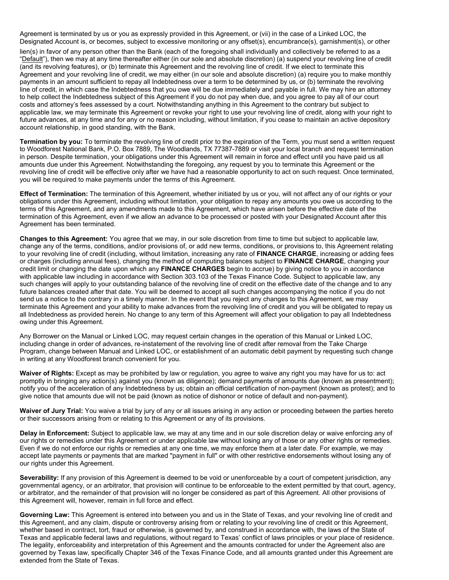Agreement is terminated by us or you as expressly provided in this Agreement, or (vii) in the case of a Linked LOC, the Designated Account is, or becomes, subject to excessive monitoring or any offset(s), encumbrance(s), garnishment(s), or other

"Default"), then we may at any time thereafter either (in our sole and absolute discretion) (a) suspend your revolving line of credit lien(s) in favor of any person other than the Bank (each of the foregoing shall individually and collectively be referred to as a (and its revolving features), or (b) terminate this Agreement and the revolving line of credit. If we elect to terminate this Agreement and your revolving line of credit, we may either (in our sole and absolute discretion) (a) require you to make monthly payments in an amount sufficient to repay all Indebtedness over a term to be determined by us, or (b) terminate the revolving line of credit, in which case the Indebtedness that you owe will be due immediately and payable in full. We may hire an attorney to help collect the Indebtedness subject of this Agreement if you do not pay when due, and you agree to pay all of our court costs and attorney's fees assessed by a court. Notwithstanding anything in this Agreement to the contrary but subject to applicable law, we may terminate this Agreement or revoke your right to use your revolving line of credit, along with your right to future advances, at any time and for any or no reason including, without limitation, if you cease to maintain an active depository account relationship, in good standing, with the Bank.

**Termination by you:** To terminate the revolving line of credit prior to the expiration of the Term, you must send a written request to Woodforest National Bank, P.O. Box 7889, The Woodlands, TX 77387-7889 or visit your local branch and request termination in person. Despite termination, your obligations under this Agreement will remain in force and effect until you have paid us all amounts due under this Agreement. Notwithstanding the foregoing, any request by you to terminate this Agreement or the revolving line of credit will be effective only after we have had a reasonable opportunity to act on such request. Once terminated, you will be required to make payments under the terms of this Agreement.

**Effect of Termination:** The termination of this Agreement, whether initiated by us or you, will not affect any of our rights or your obligations under this Agreement, including without limitation, your obligation to repay any amounts you owe us according to the terms of this Agreement, and any amendments made to this Agreement, which have arisen before the effective date of the termination of this Agreement, even if we allow an advance to be processed or posted with your Designated Account after this Agreement has been terminated.

 with applicable law including in accordance with Section 303.103 of the Texas Finance Code. Subject to applicable law, any **Changes to this Agreement:** You agree that we may, in our sole discretion from time to time but subject to applicable law, change any of the terms, conditions, and/or provisions of, or add new terms, conditions, or provisions to, this Agreement relating to your revolving line of credit (including, without limitation, increasing any rate of **FINANCE CHARGE**, increasing or adding fees or charges (including annual fees), changing the method of computing balances subject to **FINANCE CHARGE**, changing your credit limit or changing the date upon which any **FINANCE CHARGES** begin to accrue) by giving notice to you in accordance such changes will apply to your outstanding balance of the revolving line of credit on the effective date of the change and to any future balances created after that date. You will be deemed to accept all such changes accompanying the notice if you do not send us a notice to the contrary in a timely manner. In the event that you reject any changes to this Agreement, we may terminate this Agreement and your ability to make advances from the revolving line of credit and you will be obligated to repay us all Indebtedness as provided herein. No change to any term of this Agreement will affect your obligation to pay all Indebtedness owing under this Agreement.

Any Borrower on the Manual or Linked LOC, may request certain changes in the operation of this Manual or Linked LOC, including change in order of advances, re-instatement of the revolving line of credit after removal from the Take Charge Program, change between Manual and Linked LOC, or establishment of an automatic debit payment by requesting such change in writing at any Woodforest branch convenient for you.

**Waiver of Rights:** Except as may be prohibited by law or regulation, you agree to waive any right you may have for us to: act promptly in bringing any action(s) against you (known as diligence); demand payments of amounts due (known as presentment); notify you of the acceleration of any Indebtedness by us; obtain an official certification of non-payment (known as protest); and to give notice that amounts due will not be paid (known as notice of dishonor or notice of default and non-payment).

 **Waiver of Jury Trial:** You waive a trial by jury of any or all issues arising in any action or proceeding between the parties hereto or their successors arising from or relating to this Agreement or any of its provisions.

**Delay in Enforcement:** Subject to applicable law, we may at any time and in our sole discretion delay or waive enforcing any of our rights or remedies under this Agreement or under applicable law without losing any of those or any other rights or remedies. Even if we do not enforce our rights or remedies at any one time, we may enforce them at a later date. For example, we may accept late payments or payments that are marked "payment in full" or with other restrictive endorsements without losing any of our rights under this Agreement.

**Severability:** If any provision of this Agreement is deemed to be void or unenforceable by a court of competent jurisdiction, any governmental agency, or an arbitrator, that provision will continue to be enforceable to the extent permitted by that court, agency, or arbitrator, and the remainder of that provision will no longer be considered as part of this Agreement. All other provisions of this Agreement will, however, remain in full force and effect.

**Governing Law:** This Agreement is entered into between you and us in the State of Texas, and your revolving line of credit and this Agreement, and any claim, dispute or controversy arising from or relating to your revolving line of credit or this Agreement, whether based in contract, tort, fraud or otherwise, is governed by, and construed in accordance with, the laws of the State of Texas and applicable federal laws and regulations, without regard to Texas' conflict of laws principles or your place of residence. The legality, enforceability and interpretation of this Agreement and the amounts contracted for under the Agreement also are governed by Texas law, specifically Chapter 346 of the Texas Finance Code, and all amounts granted under this Agreement are extended from the State of Texas.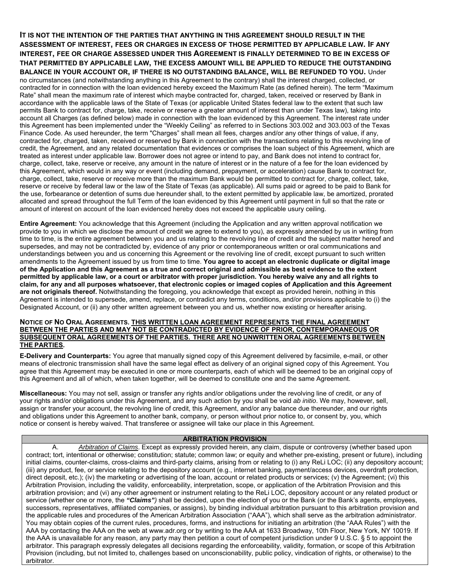reserve or receive by federal law or the law of the State of Texas (as applicable). All sums paid or agreed to be paid to Bank for **IT IS NOT THE INTENTION OF THE PARTIES THAT ANYTHING IN THIS AGREEMENT SHOULD RESULT IN THE ASSESSMENT OF INTEREST, FEES OR CHARGES IN EXCESS OF THOSE PERMITTED BY APPLICABLE LAW. IF ANY INTEREST, FEE OR CHARGE ASSESSED UNDER THIS AGREEMENT IS FINALLY DETERMINED TO BE IN EXCESS OF THAT PERMITTED BY APPLICABLE LAW, THE EXCESS AMOUNT WILL BE APPLIED TO REDUCE THE OUTSTANDING BALANCE IN YOUR ACCOUNT OR, IF THERE IS NO OUTSTANDING BALANCE, WILL BE REFUNDED TO YOU.** Under no circumstances (and notwithstanding anything in this Agreement to the contrary) shall the interest charged, collected, or contracted for in connection with the loan evidenced hereby exceed the Maximum Rate (as defined herein). The term "Maximum Rate" shall mean the maximum rate of interest which maybe contracted for, charged, taken, received or reserved by Bank in accordance with the applicable laws of the State of Texas (or applicable United States federal law to the extent that such law permits Bank to contract for, charge, take, receive or reserve a greater amount of interest than under Texas law), taking into account all Charges (as defined below) made in connection with the loan evidenced by this Agreement. The interest rate under this Agreement has been implemented under the "Weekly Ceiling" as referred to in Sections 303.002 and 303.003 of the Texas Finance Code. As used hereunder, the term "Charges" shall mean all fees, charges and/or any other things of value, if any, contracted for, charged, taken, received or reserved by Bank in connection with the transactions relating to this revolving line of credit, the Agreement, and any related documentation that evidences or comprises the loan subject of this Agreement, which are treated as interest under applicable law. Borrower does not agree or intend to pay, and Bank does not intend to contract for, charge, collect, take, reserve or receive, any amount in the nature of interest or in the nature of a fee for the loan evidenced by this Agreement, which would in any way or event (including demand, prepayment, or acceleration) cause Bank to contract for, charge, collect, take, reserve or receive more than the maximum Bank would be permitted to contract for, charge, collect, take, the use, forbearance or detention of sums due hereunder shall, to the extent permitted by applicable law, be amortized, prorated allocated and spread throughout the full Term of the loan evidenced by this Agreement until payment in full so that the rate or amount of interest on account of the loan evidenced hereby does not exceed the applicable usury ceiling.

 provide to you in which we disclose the amount of credit we agree to extend to you), as expressly amended by us in writing from  **permitted by applicable law, or a court or arbitrator with proper jurisdiction. You hereby waive any and all rights to claim, for any and all purposes whatsoever, that electronic copies or imaged copies of Application and this Agreement Entire Agreement:** You acknowledge that this Agreement (including the Application and any written approval notification we time to time, is the entire agreement between you and us relating to the revolving line of credit and the subject matter hereof and supersedes, and may not be contradicted by, evidence of any prior or contemporaneous written or oral communications and understandings between you and us concerning this Agreement or the revolving line of credit, except pursuant to such written amendments to the Agreement issued by us from time to time. **You agree to accept an electronic duplicate or digital image of the Application and this Agreement as a true and correct original and admissible as best evidence to the extent are not originals thereof.** Notwithstanding the foregoing, you acknowledge that except as provided herein, nothing in this Agreement is intended to supersede, amend, replace, or contradict any terms, conditions, and/or provisions applicable to (i) the Designated Account, or (ii) any other written agreement between you and us, whether now existing or hereafter arising.

#### **NOTICE OF NO ORAL AGREEMENTS. THIS WRITTEN LOAN AGREEMENT REPRESENTS THE FINAL AGREEMENT BETWEEN THE PARTIES AND MAY NOT BE CONTRADICTED BY EVIDENCE OF PRIOR, CONTEMPORANEOUS OR SUBSEQUENT ORAL AGREEMENTS OF THE PARTIES. THERE ARE NO UNWRITTEN ORAL AGREEMENTS BETWEEN THE PARTIES.**

**E-Delivery and Counterparts:** You agree that manually signed copy of this Agreement delivered by facsimile, e-mail, or other means of electronic transmission shall have the same legal effect as delivery of an original signed copy of this Agreement. You agree that this Agreement may be executed in one or more counterparts, each of which will be deemed to be an original copy of this Agreement and all of which, when taken together, will be deemed to constitute one and the same Agreement.

**Miscellaneous:** You may not sell, assign or transfer any rights and/or obligations under the revolving line of credit, or any of your rights and/or obligations under this Agreement, and any such action by you shall be void *ab initio*. We may, however, sell, assign or transfer your account, the revolving line of credit, this Agreement, and/or any balance due thereunder, and our rights and obligations under this Agreement to another bank, company, or person without prior notice to, or consent by, you, which notice or consent is hereby waived. That transferee or assignee will take our place in this Agreement.

# **ARBITRATION PROVISION**

A. *Arbitration of Claims*. Except as expressly provided herein, any claim, dispute or controversy (whether based upon contract; tort, intentional or otherwise; constitution; statute; common law; or equity and whether pre-existing, present or future), including initial claims, counter-claims, cross-claims and third-party claims, arising from or relating to (i) any ReLi LOC; (ii) any depository account; (iii) any product, fee, or service relating to the depository account (e.g., internet banking, payment/access devices, overdraft protection, direct deposit, etc.); (iv) the marketing or advertising of the loan, account or related products or services; (v) the Agreement; (vi) this Arbitration Provision, including the validity, enforceability, interpretation, scope, or application of the Arbitration Provision and this arbitration provision; and (vi) any other agreement or instrument relating to the ReLi LOC, depository account or any related product or service (whether one or more, the *"Claims")* shall be decided, upon the election of you or the Bank (or the Bank's agents, employees, successors, representatives, affiliated companies, or assigns), by binding individual arbitration pursuant to this arbitration provision and the applicable rules and procedures of the American Arbitration Association ("AAA"), which shall serve as the arbitration administrator. You may obtain copies of the current rules, procedures, forms, and instructions for initiating an arbitration (the "AAA Rules") with the AAA by contacting the AAA on the web at <www.adr.org> or by writing to the AAA at 1633 Broadway, 10th Floor, New York, NY 10019. If the AAA is unavailable for any reason, any party may then petition a court of competent jurisdiction under 9 U.S.C. § 5 to appoint the arbitrator. This paragraph expressly delegates all decisions regarding the enforceability, validity, formation, or scope of this Arbitration Provision (including, but not limited to, challenges based on unconscionability, public policy, vindication of rights, or otherwise) to the arbitrator.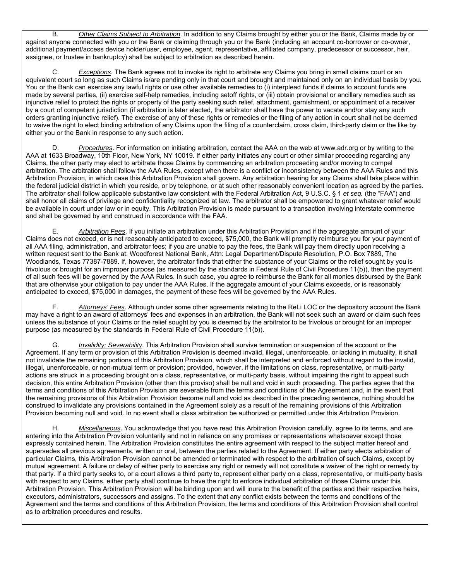B. *Other Claims Subject to Arbitration*. In addition to any Claims brought by either you or the Bank, Claims made by or against anyone connected with you or the Bank or claiming through you or the Bank (including an account co-borrower or co-owner, additional payment/access device holder/user, employee, agent, representative, affiliated company, predecessor or successor, heir, assignee, or trustee in bankruptcy) shall be subject to arbitration as described herein.

 C. *Exceptions*. The Bank agrees not to invoke its right to arbitrate any Claims you bring in small claims court or an equivalent court so long as such Claims is/are pending only in that court and brought and maintained only on an individual basis by you. You or the Bank can exercise any lawful rights or use other available remedies to (i) interplead funds if claims to account funds are made by several parties, (ii) exercise self-help remedies, including setoff rights, or (iii) obtain provisional or ancillary remedies such as injunctive relief to protect the rights or property of the party seeking such relief, attachment, garnishment, or appointment of a receiver by a court of competent jurisdiction (if arbitration is later elected, the arbitrator shall have the power to vacate and/or stay any such orders granting injunctive relief). The exercise of any of these rights or remedies or the filing of any action in court shall not be deemed to waive the right to elect binding arbitration of any Claims upon the filing of a counterclaim, cross claim, third-party claim or the like by either you or the Bank in response to any such action.

 AAA at 1633 Broadway, 10th Floor, New York, NY 10019. If either party initiates any court or other similar proceeding regarding any D. *Procedures*. For information on initiating arbitration, contact the AAA on the web at <www.adr.org> or by writing to the Claims, the other party may elect to arbitrate those Claims by commencing an arbitration proceeding and/or moving to compel arbitration. The arbitration shall follow the AAA Rules, except when there is a conflict or inconsistency between the AAA Rules and this Arbitration Provision, in which case this Arbitration Provision shall govern. Any arbitration hearing for any Claims shall take place within the federal judicial district in which you reside, or by telephone, or at such other reasonably convenient location as agreed by the parties. The arbitrator shall follow applicable substantive law consistent with the Federal Arbitration Act, 9 U.S.C. § 1 *et seq.* (the "FAA") and shall honor all claims of privilege and confidentiality recognized at law. The arbitrator shall be empowered to grant whatever relief would be available in court under law or in equity. This Arbitration Provision is made pursuant to a transaction involving interstate commerce and shall be governed by and construed in accordance with the FAA.

E. *Arbitration Fees*. If you initiate an arbitration under this Arbitration Provision and if the aggregate amount of your Claims does not exceed, or is not reasonably anticipated to exceed, \$75,000, the Bank will promptly reimburse you for your payment of all AAA filing, administration, and arbitrator fees; if you are unable to pay the fees, the Bank will pay them directly upon receiving a written request sent to the Bank at: Woodforest National Bank, Attn: Legal Department/Dispute Resolution, P.O. Box 7889, The Woodlands, Texas 77387-7889. If, however, the arbitrator finds that either the substance of your Claims or the relief sought by you is frivolous or brought for an improper purpose (as measured by the standards in Federal Rule of Civil Procedure 11(b)), then the payment of all such fees will be governed by the AAA Rules. In such case, you agree to reimburse the Bank for all monies disbursed by the Bank that are otherwise your obligation to pay under the AAA Rules. If the aggregate amount of your Claims exceeds, or is reasonably anticipated to exceed, \$75,000 in damages, the payment of these fees will be governed by the AAA Rules.

F. *Attorneys' Fees*. Although under some other agreements relating to the ReLi LOC or the depository account the Bank may have a right to an award of attorneys' fees and expenses in an arbitration, the Bank will not seek such an award or claim such fees unless the substance of your Claims or the relief sought by you is deemed by the arbitrator to be frivolous or brought for an improper purpose (as measured by the standards in Federal Rule of Civil Procedure 11(b)).

G. *Invalidity; Severability*. This Arbitration Provision shall survive termination or suspension of the account or the Agreement. If any term or provision of this Arbitration Provision is deemed invalid, illegal, unenforceable, or lacking in mutuality, it shall not invalidate the remaining portions of this Arbitration Provision, which shall be interpreted and enforced without regard to the invalid, illegal, unenforceable, or non-mutual term or provision; provided, however, if the limitations on class, representative, or multi-party actions are struck in a proceeding brought on a class, representative, or multi-party basis, without impairing the right to appeal such decision, this entire Arbitration Provision (other than this proviso) shall be null and void in such proceeding. The parties agree that the terms and conditions of this Arbitration Provision are severable from the terms and conditions of the Agreement and, in the event that the remaining provisions of this Arbitration Provision become null and void as described in the preceding sentence, nothing should be construed to invalidate any provisions contained in the Agreement solely as a result of the remaining provisions of this Arbitration Provision becoming null and void. In no event shall a class arbitration be authorized or permitted under this Arbitration Provision.

H. *Miscellaneous*. You acknowledge that you have read this Arbitration Provision carefully, agree to its terms, and are entering into the Arbitration Provision voluntarily and not in reliance on any promises or representations whatsoever except those expressly contained herein. The Arbitration Provision constitutes the entire agreement with respect to the subject matter hereof and supersedes all previous agreements, written or oral, between the parties related to the Agreement. If either party elects arbitration of particular Claims, this Arbitration Provision cannot be amended or terminated with respect to the arbitration of such Claims, except by mutual agreement. A failure or delay of either party to exercise any right or remedy will not constitute a waiver of the right or remedy by that party. If a third party seeks to, or a court allows a third party to, represent either party on a class, representative, or multi-party basis with respect to any Claims, either party shall continue to have the right to enforce individual arbitration of those Claims under this Arbitration Provision. This Arbitration Provision will be binding upon and will inure to the benefit of the parties and their respective heirs, executors, administrators, successors and assigns. To the extent that any conflict exists between the terms and conditions of the Agreement and the terms and conditions of this Arbitration Provision, the terms and conditions of this Arbitration Provision shall control as to arbitration procedures and results.